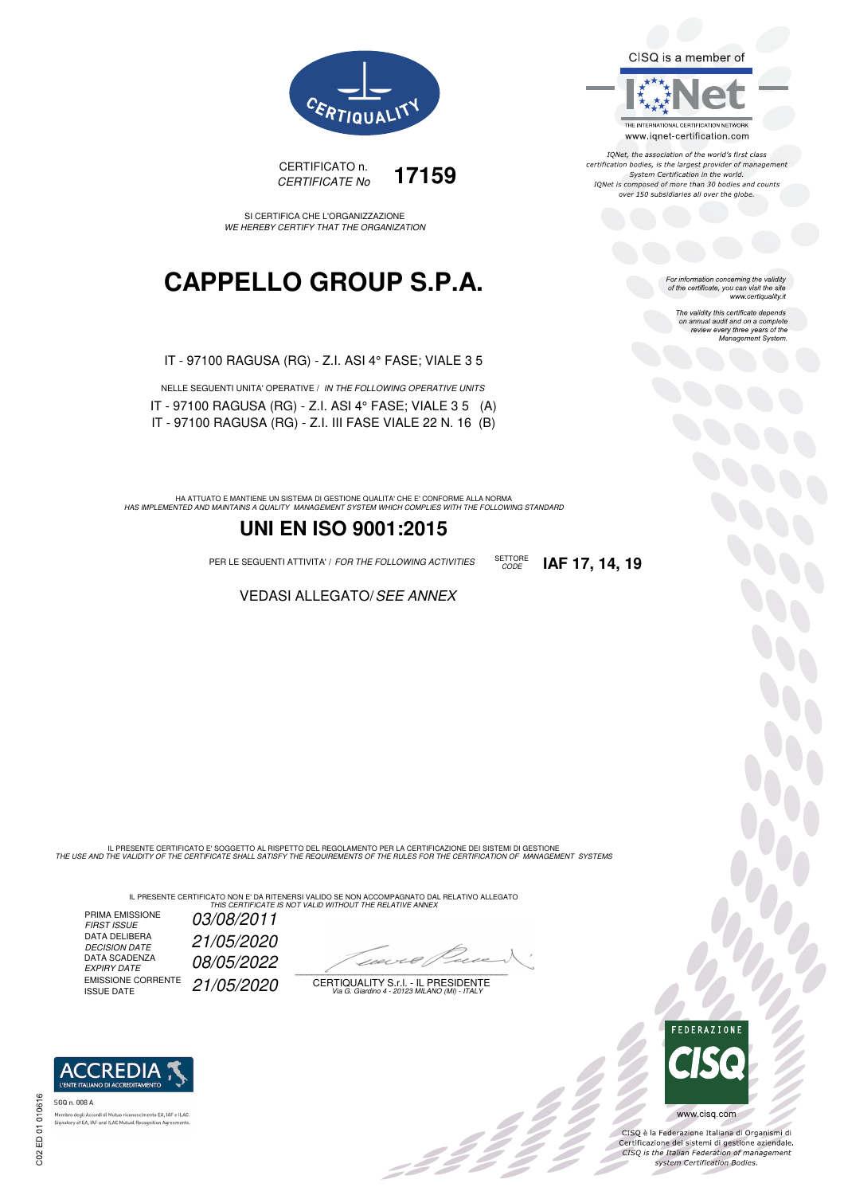CISQ is a member of



IQNet, the association of the world's first class<br>certification bodies, is the largest provider of management System Certification in the world.<br>IQNet is composed of more than 30 bodies and counts over 150 subsidiaries all over the globe.

CODE **IAF 17, 14, 19**

For information concerning the validity<br>of the certificate, you can visit the site www.certiquality.it

> The validity this certificate depends on annual audit and on a complete<br>on annual audit and on a complete<br>review every three years of the<br>Management System.





SI CERTIFICA CHE L'ORGANIZZAZIONE WE HEREBY CERTIFY THAT THE ORGANIZATION

## **CAPPELLO GROUP S.P.A.**

IT - 97100 RAGUSA (RG) - Z.I. ASI 4° FASE; VIALE 3 5

| NELLE SEGUENTI UNITA' OPERATIVE / IN THE FOLLOWING OPERATIVE UNITS |  |
|--------------------------------------------------------------------|--|
| IT - 97100 RAGUSA (RG) - Z.I. ASI 4 $^{\circ}$ FASE; VIALE 3 5 (A) |  |
| IT - 97100 RAGUSA (RG) - Z.I. III FASE VIALE 22 N. 16 (B)          |  |

HA ATTUATO E MANTIENE UN SISTEMA DI GESTIONE QUALITA' CHE E' CONFORME ALLA NORMA<br>HAS IMPLEMENTED AND MAINTAINS A QUALITY MANAGEMENT SYSTEM WHICH COMPLIES WITH THE FOLLOWING STANDARD

## **UNI EN ISO 9001:2015**

PER LE SEGUENTI ATTIVITA' / FOR THE FOLLOWING ACTIVITIES SETTORE

VEDASI ALLEGATO/SEE ANNEX

IL PRESENTE CERTIFICATO E' SOGGETTO AL RISPETTO DEL REGOLAMENTO PER LA CERTIFICAZIONE DEI SISTEMI DI GESTIONE<br>THE USE AND THE VALIDITY OF THE CERTIFICATE SHALL SATISFY THE REQUIREMENTS OF THE RULES FOR THE CERTIFICATION OF

IL PRESENTE CERTIFICATO NON E' DA RITENERSI VALIDO SE NON ACCOMPAGNATO DAL RELATIVO ALLEGATO<br>*THIS CERTIFICATE IS NOT VALID WITHOUT THE RELATIVE ANNEX* 

PRIMA EMISSIONE FIRST ISSUE 03/08/2011 DATA DELIBERA DECISION DATE 21/05/2020 DECISION DATE<br>DATA SCADENZA<br>EXPIRY DATE 08/05/2022 EMISSIONE CORRENTE<br>ISSUE DATE 21/05/2020

 $\overline{\phantom{a}}$ 

-111

CERTIQUALITY S.r.l. - IL PRESIDENTE Via G. Giardino 4 - 20123 MILANO (MI) - ITALY



 $\frac{1}{2}$ 

CISQ è la Federazione Italiana di Organismi di Crista e la Federazione Transma di Organismi di<br>Certificazione dei sistemi di gestione aziendale.<br>CISQ is the Italian Federation of management system Certification Bodies.



EA, IAF e ILAC nbro degli Accordi di Mutuo riconoscimenti<br>atory of EA, IAF and ILAC Mutual Recognit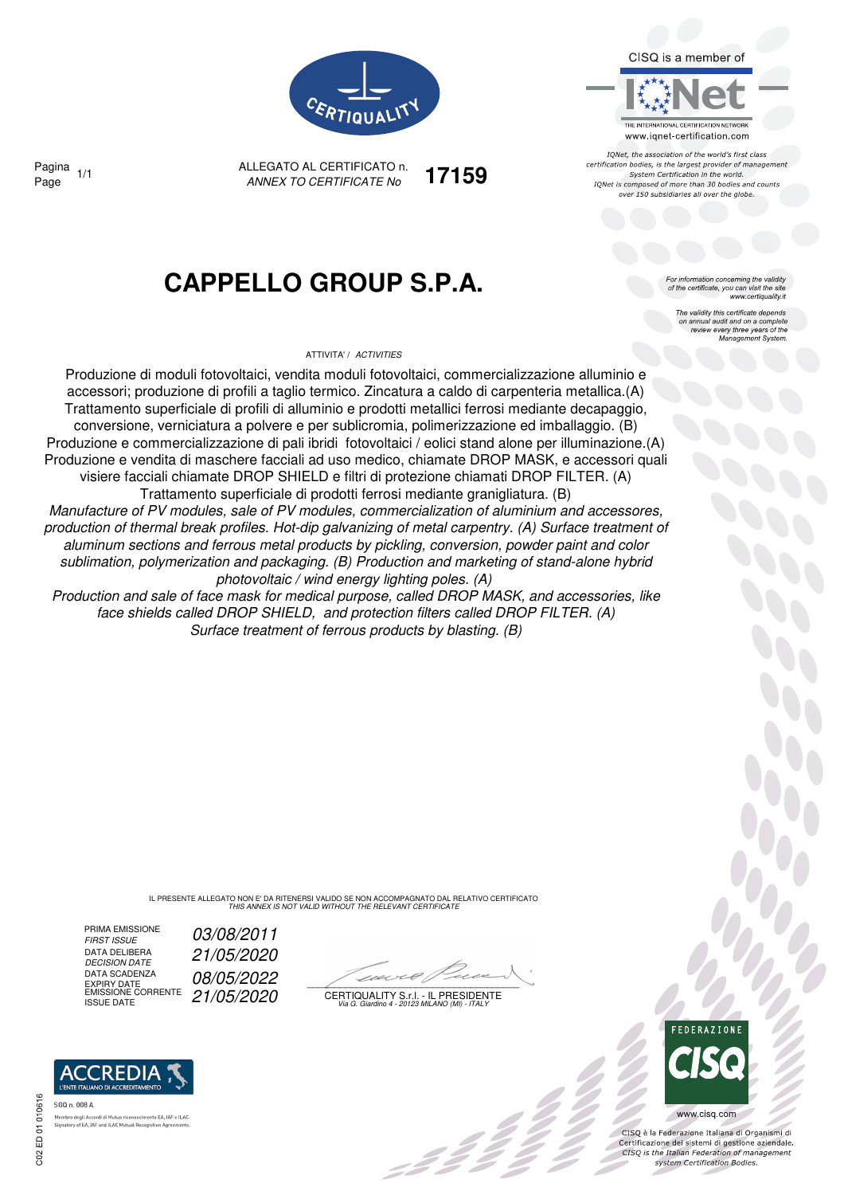

THE INTERNATIONAL CERTIFICATION NETWORK www.iqnet-certification.com IQNet, the association of the world's first class certification bodies, is the largest provider of management System Certification in the world. IONet is composed of more than 30 bodies and counts over 150 subsidiaries all over the globe

> information concerning the validity of the certificate, you can visit the site

The validity this certificate depends The validity this certificate depends<br>on annual audit and on a complete<br>review every three years of the<br>Management System.

www.certiquality.it



ALLEGATO AL CERTIFICATO n. ANNEX TO CERTIFICATE No Page 1/1 **17159**

## **CAPPELLO GROUP S.P.A.**

ATTIVITA' / ACTIVITIES

Produzione di moduli fotovoltaici, vendita moduli fotovoltaici, commercializzazione alluminio e accessori; produzione di profili a taglio termico. Zincatura a caldo di carpenteria metallica.(A) Trattamento superficiale di profili di alluminio e prodotti metallici ferrosi mediante decapaggio, conversione, verniciatura a polvere e per sublicromia, polimerizzazione ed imballaggio. (B) Produzione e commercializzazione di pali ibridi fotovoltaici / eolici stand alone per illuminazione.(A) Produzione e vendita di maschere facciali ad uso medico, chiamate DROP MASK, e accessori quali visiere facciali chiamate DROP SHIELD e filtri di protezione chiamati DROP FILTER. (A) Trattamento superficiale di prodotti ferrosi mediante granigliatura. (B) Manufacture of PV modules, sale of PV modules, commercialization of aluminium and accessores, production of thermal break profiles. Hot-dip galvanizing of metal carpentry. (A) Surface treatment of aluminum sections and ferrous metal products by pickling, conversion, powder paint and color sublimation, polymerization and packaging. (B) Production and marketing of stand-alone hybrid photovoltaic / wind energy lighting poles. (A) Production and sale of face mask for medical purpose, called DROP MASK, and accessories, like face shields called DROP SHIELD, and protection filters called DROP FILTER. (A)

Surface treatment of ferrous products by blasting. (B)

IL PRESENTE ALLEGATO NON E' DA RITENERSI VALIDO SE NON ACCOMPAGNATO DAL RELATIVO CERTIFICATO THIS ANNEX IS NOT VALID WITHOUT THE RELEVANT CERTIFICATE

PRIMA EMISSIONE<br>FIRST ISSUE DATA DELIBERA<br>DECISION DATE DATA SCADENZA DATA SCADENZA<br>EXPIRY DATE<br>EMISSIONE CORRENTE 21/05/2020

03/08/2011 DECISION DATE 21/05/2020

- 2 Z

EMISSIONE CORRENTE  $\left( \frac{21}{05} \right/ \left( \frac{2020}{207} \right)$  certiquality S.f.l. - Il Presidente



 $\frac{1}{2}$ 

www.cisq.com

CISO è la Federazione Italiana di Organismi di CISQ e la regerazione italiana di Organismi di<br>Certificazione dei sistemi di gestione aziendale.<br>CISQ is the Italian Federation of management system Certification Bodies.



ACCREDIA SGQ n. 008 A

ento FA JAF e ILAC Signatory of EA, IAF and ILAC Mutual Recognition Age

Pagina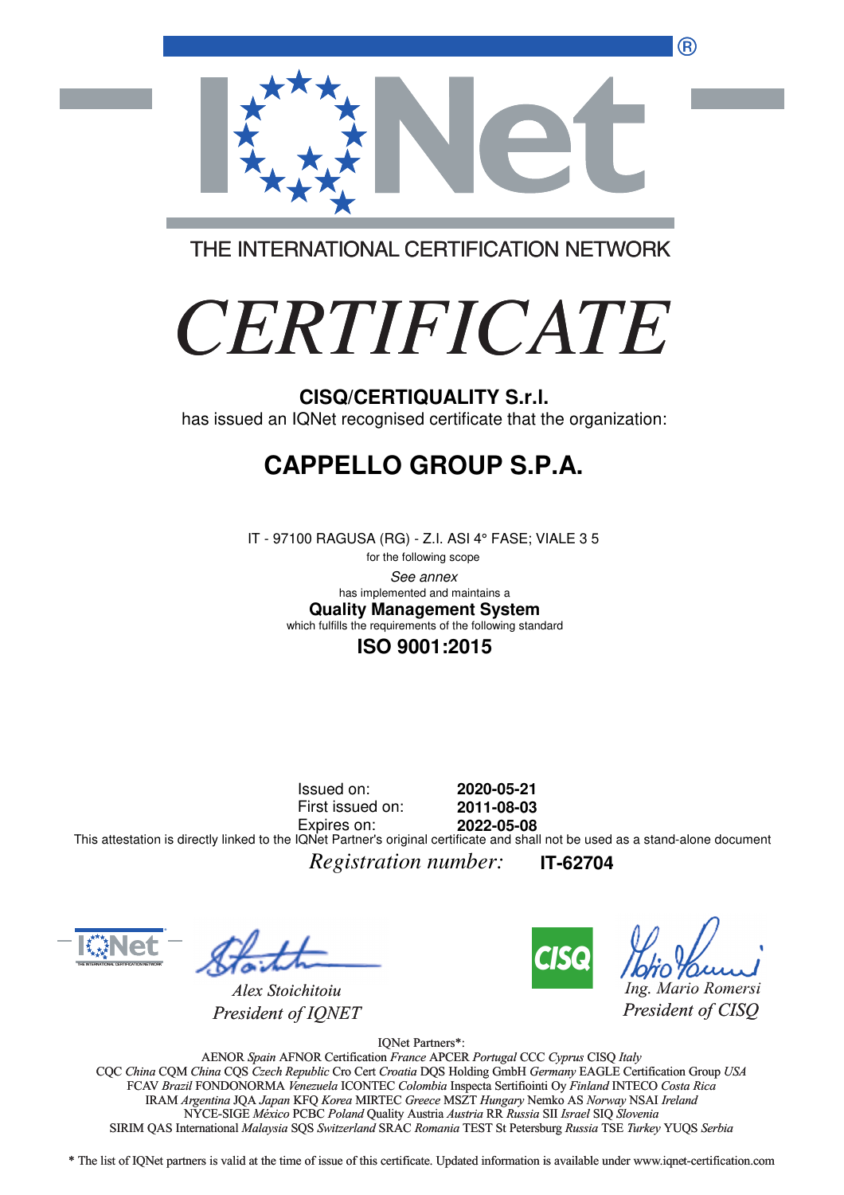®



THE INTERNATIONAL CERTIFICATION NETWORK

# *CERTIFICATE*

has issued an IQNet recognised certificate that the organization:

# **CAPPELLO GROUP S.P.A.**

IT - 97100 RAGUSA (RG) - Z.I. ASI 4° FASE; VIALE 3 5

for the following scope See annex **Quality Management System** has implemented and maintains a which fulfills the requirements of the following standard

### **ISO 9001:2015**

Issued on: First issued on: Expires on: **2020-05-21 2011-08-03 2022-05-08** This attestation is directly linked to the IQNet Partner's original certificate and shall not be used as a stand-alone document

*Registration number:* **IT-62704**



*Alex Stoichitoiu President of IQNET*



*Ing. Mario Romersi*

*President of CISQ* 

IQNet Partners\*:

AENOR *Spain* AFNOR Certification *France* APCER *Portugal* CCC *Cyprus* CISQ *Italy* CQC *China* CQM *China* CQS *Czech Republic* Cro Cert *Croatia* DQS Holding GmbH *Germany* EAGLE Certification Group *USA* FCAV *Brazil* FONDONORMA *Venezuela* ICONTEC *Colombia* Inspecta Sertifiointi Oy *Finland* INTECO *Costa Rica* IRAM *Argentina* JQA *Japan* KFQ *Korea* MIRTEC *Greece* MSZT *Hungary* Nemko AS *Norway* NSAI *Ireland* NYCE-SIGE *México* PCBC *Poland* Quality Austria *Austria* RR *Russia* SII *Israel* SIQ *Slovenia* SIRIM QAS International *Malaysia* SQS *Switzerland* SRAC *Romania* TEST St Petersburg *Russia* TSE *Turkey* YUQS *Serbia* CISQ/CERTIQUALITY S.r.I.<br>
ONET recognised certificate that the<br> **PPELLO GROUP S.P**<br>
on RAGUSA (RG) - Z.I. ASI 4° FASE; VI<br>
for the following scope<br>
has implemented and maintains a<br> **Quality Management System**<br>
including th

\* The list of IQNet partners is valid at the time of issue of this certificate. Updated information is available under www.iqnet-certification.com